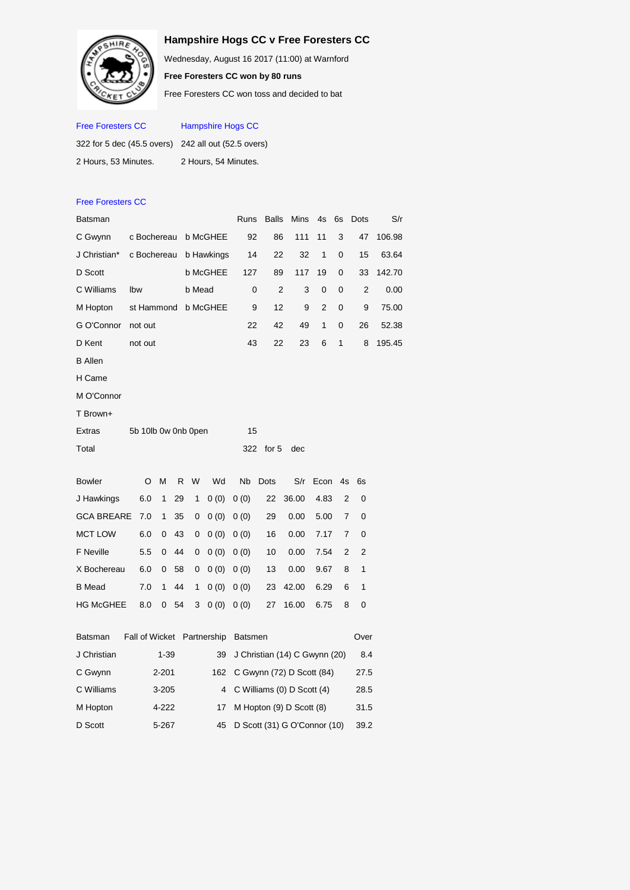## **Hampshire Hogs CC v Free Foresters CC**

Wednesday, August 16 2017 (11:00) at Warnford

**Free Foresters CC won by 80 runs**

Free Foresters CC won toss and decided to bat

| <b>Free Foresters CC</b>                            | <b>Hampshire Hogs CC</b> |  |  |  |  |  |  |  |
|-----------------------------------------------------|--------------------------|--|--|--|--|--|--|--|
| 322 for 5 dec (45.5 overs) 242 all out (52.5 overs) |                          |  |  |  |  |  |  |  |
| 2 Hours, 53 Minutes.                                | 2 Hours, 54 Minutes.     |  |  |  |  |  |  |  |

| <b>Free Foresters CC</b> |             |                     |              |    |        |                 |                               |              |           |                |    |                |        |
|--------------------------|-------------|---------------------|--------------|----|--------|-----------------|-------------------------------|--------------|-----------|----------------|----|----------------|--------|
| <b>Batsman</b>           |             |                     |              |    |        |                 | Runs                          | <b>Balls</b> | Mins      | 4s             | 6s | Dots           | S/r    |
| C Gwynn                  |             | c Bochereau         |              |    |        | b McGHEE        | 92                            |              | 86<br>111 |                | 3  | 47             | 106.98 |
| J Christian*             | c Bochereau |                     |              |    |        | b Hawkings      | 14                            |              | 22<br>32  |                | 0  | 15             | 63.64  |
| D Scott                  |             |                     |              |    |        | <b>b McGHEE</b> | 127                           |              | 89<br>117 |                | 0  | 33             | 142.70 |
| C Williams               | Ibw         |                     |              |    | b Mead |                 | 0                             |              | 2<br>3    | 0              | 0  | 2              | 0.00   |
| M Hopton                 |             | st Hammond          |              |    |        | b McGHEE        | 9                             | 12           | 9         | $\overline{2}$ | 0  | 9              | 75.00  |
| G O'Connor               |             | not out             |              |    |        |                 | 22                            |              | 42<br>49  |                | 0  | 26             | 52.38  |
| D Kent                   |             | not out             |              |    |        |                 | 43                            |              | 22<br>23  |                | 1  | 8              | 195.45 |
| <b>B</b> Allen           |             |                     |              |    |        |                 |                               |              |           |                |    |                |        |
| H Came                   |             |                     |              |    |        |                 |                               |              |           |                |    |                |        |
| M O'Connor               |             |                     |              |    |        |                 |                               |              |           |                |    |                |        |
| T Brown+                 |             |                     |              |    |        |                 |                               |              |           |                |    |                |        |
| <b>Extras</b>            |             | 5b 10lb 0w 0nb 0pen |              |    |        |                 | 15                            |              |           |                |    |                |        |
| Total                    |             |                     | for 5<br>dec |    |        |                 |                               |              |           |                |    |                |        |
|                          |             |                     |              |    |        |                 |                               |              |           |                |    |                |        |
| <b>Bowler</b>            |             | O                   | M            | R  | W      | Wd              | <b>N<sub>b</sub></b>          | <b>Dots</b>  | S/r       | Econ           | 4s | 6s             |        |
| J Hawkings               |             | 6.0                 | 1            | 29 | 1      | 0(0)            | 0(0)                          | 22           | 36.00     | 4.83           | 2  | 0              |        |
| <b>GCA BREARE</b>        |             | 7.0                 | 1            | 35 | 0      | 0(0)            | 0(0)                          | 29           | 0.00      | 5.00           | 7  | 0              |        |
| <b>MCT LOW</b>           |             | 6.0                 | 0            | 43 | 0      | 0(0)            | 0(0)                          | 16           | 0.00      | 7.17           | 7  | 0              |        |
| <b>F</b> Neville         |             | 5.5                 | 0            | 44 | 0      | 0(0)            | 0(0)                          | 10           | 0.00      | 7.54           | 2  | $\overline{2}$ |        |
| X Bochereau              |             | 6.0                 | 0            | 58 | 0      | 0(0)            | 0(0)                          | 13           | 0.00      | 9.67           | 8  | 1              |        |
| <b>B</b> Mead            |             | 7.0                 | 1            | 44 | 1      | 0(0)            | 0(0)                          | 23           | 42.00     | 6.29           | 6  | 1              |        |
| <b>HG McGHEE</b>         |             | 8.0                 | 0            | 54 | 3      | 0(0)            | 0(0)                          | 27           | 16.00     | 6.75           | 8  | 0              |        |
|                          |             |                     |              |    |        |                 |                               |              |           |                |    |                |        |
| Batsman                  |             | Fall of Wicket      |              |    |        | Partnership     | <b>Batsmen</b>                |              |           |                |    | Over           |        |
| J Christian              | $1 - 39$    |                     |              |    |        | 39              | J Christian (14) C Gwynn (20) |              | 8.4       |                |    |                |        |
| C Gwynn                  | $2 - 201$   |                     |              |    |        | 162             | C Gwynn (72) D Scott (84)     |              | 27.5      |                |    |                |        |
| C Williams               | 4<br>3-205  |                     |              |    |        |                 | C Williams (0) D Scott (4)    |              | 28.5      |                |    |                |        |
| M Hopton                 | 4-222<br>17 |                     |              |    |        |                 | M Hopton (9) D Scott (8)      | 31.5         |           |                |    |                |        |

D Scott 5-267 45 D Scott (31) G O'Connor (10) 39.2